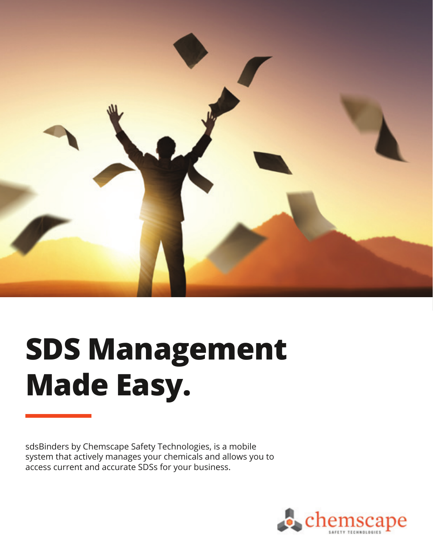

## **SDS Management Made Easy.**

sdsBinders by Chemscape Safety Technologies, is a mobile system that actively manages your chemicals and allows you to access current and accurate SDSs for your business.

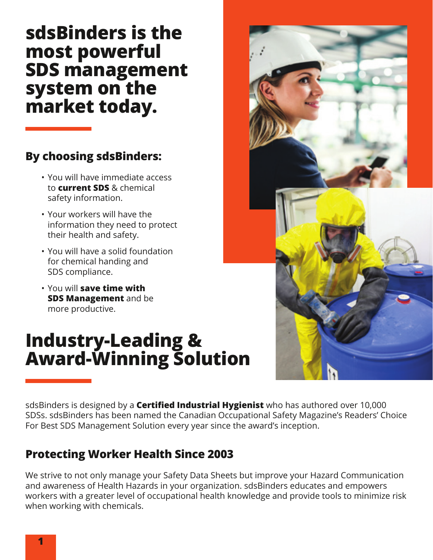#### **sdsBinders is the most powerful SDS management system on the market today.**

#### **By choosing sdsBinders:**

- You will have immediate access to **current SDS** & chemical safety information.
- Your workers will have the information they need to protect their health and safety.
- You will have a solid foundation for chemical handing and SDS compliance.
- You will **save time with SDS Management** and be more productive.

#### **Industry-Leading & Award-Winning Solution**



sdsBinders is designed by a **Certified Industrial Hygienist** who has authored over 10,000 SDSs. sdsBinders has been named the Canadian Occupational Safety Magazine's Readers' Choice For Best SDS Management Solution every year since the award's inception.

#### **Protecting Worker Health Since 2003**

We strive to not only manage your Safety Data Sheets but improve your Hazard Communication and awareness of Health Hazards in your organization. sdsBinders educates and empowers workers with a greater level of occupational health knowledge and provide tools to minimize risk when working with chemicals.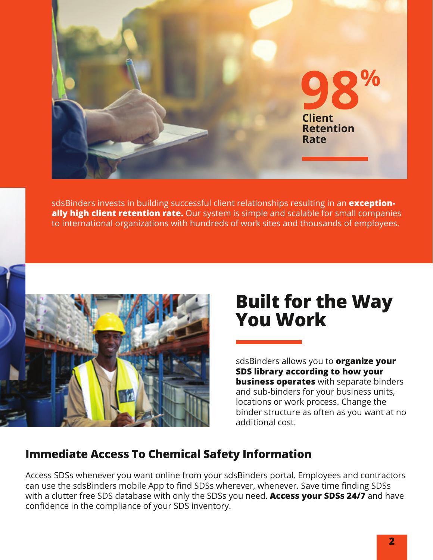

sdsBinders invests in building successful client relationships resulting in an **exceptionally high client retention rate.** Our system is simple and scalable for small companies to international organizations with hundreds of work sites and thousands of employees.



#### **Built for the Way You Work**

sdsBinders allows you to **organize your SDS library according to how your business operates** with separate binders and sub-binders for your business units, locations or work process. Change the binder structure as often as you want at no additional cost.

#### **Immediate Access To Chemical Safety Information**

Access SDSs whenever you want online from your sdsBinders portal. Employees and contractors can use the sdsBinders mobile App to find SDSs wherever, whenever. Save time finding SDSs with a clutter free SDS database with only the SDSs you need. **Access your SDSs 24/7** and have confidence in the compliance of your SDS inventory.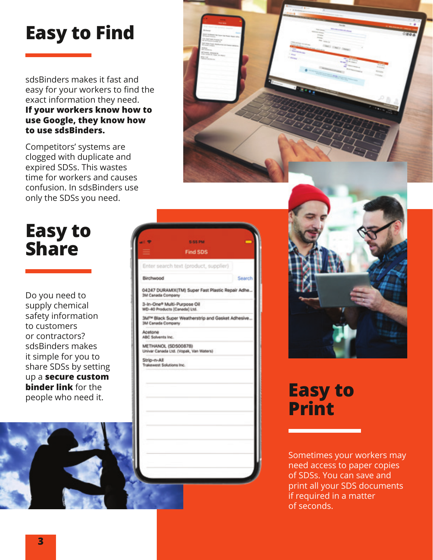## **Easy to Find**

sdsBinders makes it fast and easy for your workers to find the exact information they need. **If your workers know how to use Google, they know how to use sdsBinders.**

Competitors' systems are clogged with duplicate and expired SDSs. This wastes time for workers and causes confusion. In sdsBinders use only the SDSs you need.

## **Easy to Share**

Do you need to supply chemical safety information to customers or contractors? sdsBinders makes it simple for you to share SDSs by setting up a **secure custom binder link** for the





# **Print**

Sometimes your workers may need access to paper copies of SDSs. You can save and print all your SDS documents if required in a matter of seconds.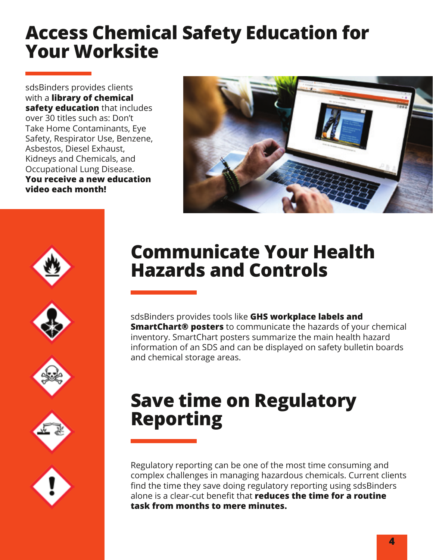### **Access Chemical Safety Education for Your Worksite**

sdsBinders provides clients with a **library of chemical safety education** that includes over 30 titles such as: Don't Take Home Contaminants, Eye Safety, Respirator Use, Benzene, Asbestos, Diesel Exhaust, Kidneys and Chemicals, and Occupational Lung Disease. **You receive a new education video each month!**











## **Communicate Your Health Hazards and Controls**

sdsBinders provides tools like **GHS workplace labels and SmartChart® posters** to communicate the hazards of your chemical inventory. SmartChart posters summarize the main health hazard information of an SDS and can be displayed on safety bulletin boards and chemical storage areas.

## **Save time on Regulatory Reporting**

Regulatory reporting can be one of the most time consuming and complex challenges in managing hazardous chemicals. Current clients find the time they save doing regulatory reporting using sdsBinders alone is a clear-cut benefit that **reduces the time for a routine task from months to mere minutes.**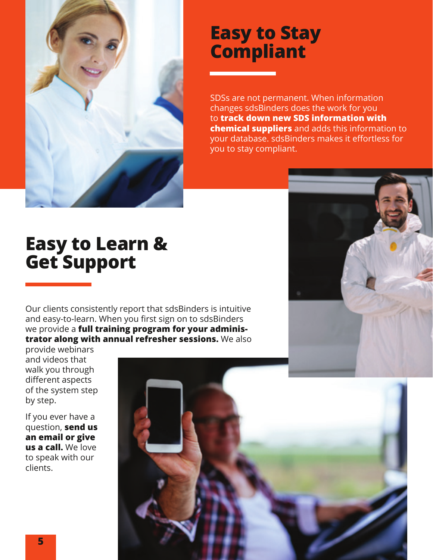

#### **Easy to Stay Compliant**

SDSs are not permanent. When information changes sdsBinders does the work for you to **track down new SDS information with chemical suppliers** and adds this information to your database. sdsBinders makes it effortless for you to stay compliant.

#### **Easy to Learn & Get Support**

Our clients consistently report that sdsBinders is intuitive and easy-to-learn. When you first sign on to sdsBinders we provide a **full training program for your administrator along with annual refresher sessions.** We also

provide webinars and videos that walk you through different aspects of the system step by step.

If you ever have a question, **send us an email or give us a call.** We love to speak with our clients.

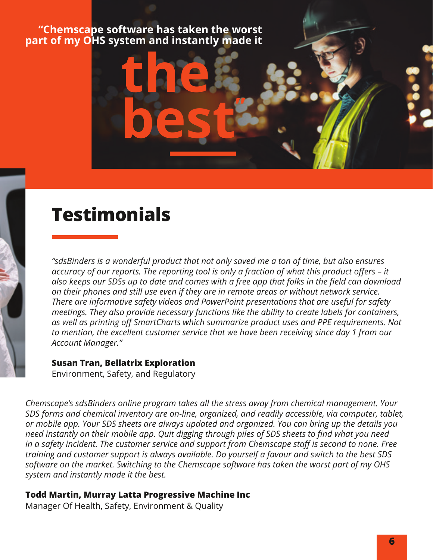## **"Chemscape software has taken the worst part of my OHS system and instantly made it**

**the** 

**best"**

#### **Testimonials**

*"sdsBinders is a wonderful product that not only saved me a ton of time, but also ensures accuracy of our reports. The reporting tool is only a fraction of what this product offers – it also keeps our SDSs up to date and comes with a free app that folks in the field can download on their phones and still use even if they are in remote areas or without network service. There are informative safety videos and PowerPoint presentations that are useful for safety meetings. They also provide necessary functions like the ability to create labels for containers, as well as printing off SmartCharts which summarize product uses and PPE requirements. Not to mention, the excellent customer service that we have been receiving since day 1 from our Account Manager."*

#### **Susan Tran, Bellatrix Exploration**

Environment, Safety, and Regulatory

*Chemscape's sdsBinders online program takes all the stress away from chemical management. Your SDS forms and chemical inventory are on-line, organized, and readily accessible, via computer, tablet, or mobile app. Your SDS sheets are always updated and organized. You can bring up the details you need instantly on their mobile app. Quit digging through piles of SDS sheets to find what you need in a safety incident. The customer service and support from Chemscape staff is second to none. Free training and customer support is always available. Do yourself a favour and switch to the best SDS software on the market. Switching to the Chemscape software has taken the worst part of my OHS system and instantly made it the best.*

#### **Todd Martin, Murray Latta Progressive Machine Inc**

Manager Of Health, Safety, Environment & Quality